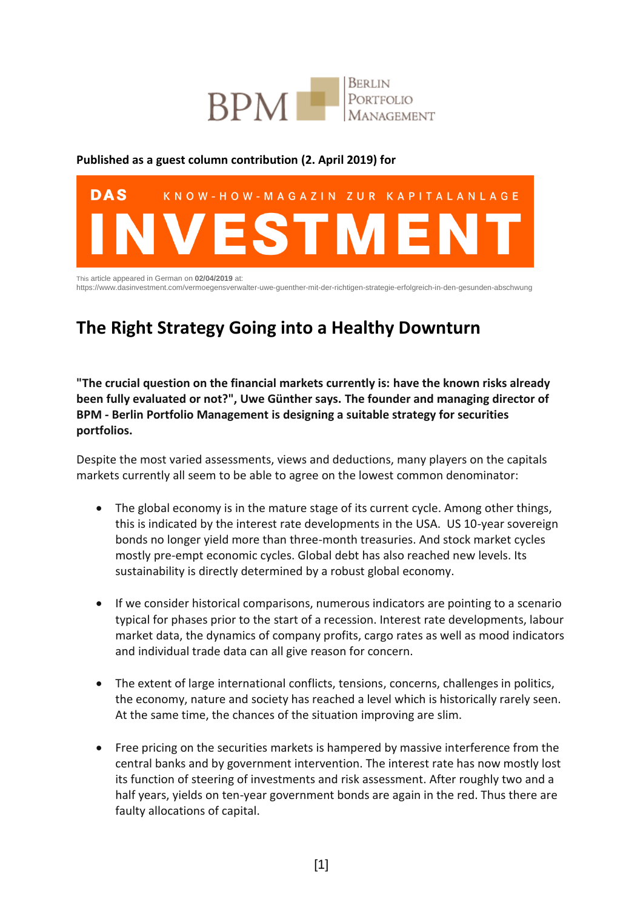

## **Published as a guest column contribution (2. April 2019) for**



https://www.dasinvestment.com/vermoegensverwalter-uwe-guenther-mit-der-richtigen-strategie-erfolgreich-in-den-gesunden-abschwung

## **The Right Strategy Going into a Healthy Downturn**

**"The crucial question on the financial markets currently is: have the known risks already been fully evaluated or not?", Uwe Günther says. The founder and managing director of BPM - Berlin Portfolio Management is designing a suitable strategy for securities portfolios.**

Despite the most varied assessments, views and deductions, many players on the capitals markets currently all seem to be able to agree on the lowest common denominator:

- The global economy is in the mature stage of its current cycle. Among other things, this is indicated by the interest rate developments in the USA. US 10-year sovereign bonds no longer yield more than three-month treasuries. And stock market cycles mostly pre-empt economic cycles. Global debt has also reached new levels. Its sustainability is directly determined by a robust global economy.
- If we consider historical comparisons, numerous indicators are pointing to a scenario typical for phases prior to the start of a recession. Interest rate developments, labour market data, the dynamics of company profits, cargo rates as well as mood indicators and individual trade data can all give reason for concern.
- The extent of large international conflicts, tensions, concerns, challenges in politics, the economy, nature and society has reached a level which is historically rarely seen. At the same time, the chances of the situation improving are slim.
- Free pricing on the securities markets is hampered by massive interference from the central banks and by government intervention. The interest rate has now mostly lost its function of steering of investments and risk assessment. After roughly two and a half years, yields on ten-year government bonds are again in the red. Thus there are faulty allocations of capital.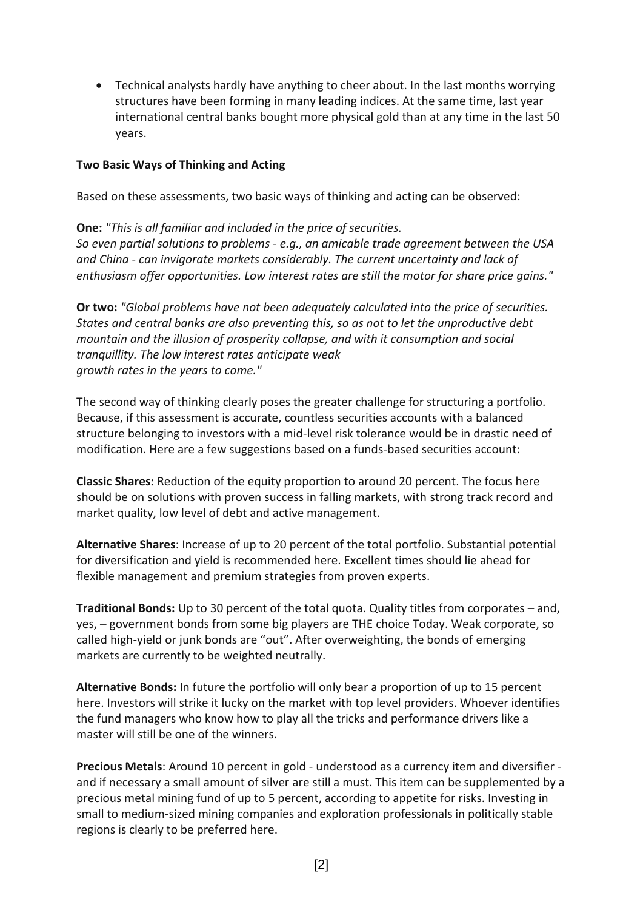Technical analysts hardly have anything to cheer about. In the last months worrying structures have been forming in many leading indices. At the same time, last year international central banks bought more physical gold than at any time in the last 50 years.

## **Two Basic Ways of Thinking and Acting**

Based on these assessments, two basic ways of thinking and acting can be observed:

**One:** *"This is all familiar and included in the price of securities. So even partial solutions to problems - e.g., an amicable trade agreement between the USA and China - can invigorate markets considerably. The current uncertainty and lack of enthusiasm offer opportunities. Low interest rates are still the motor for share price gains."*

**Or two:** *"Global problems have not been adequately calculated into the price of securities. States and central banks are also preventing this, so as not to let the unproductive debt mountain and the illusion of prosperity collapse, and with it consumption and social tranquillity. The low interest rates anticipate weak growth rates in the years to come."*

The second way of thinking clearly poses the greater challenge for structuring a portfolio. Because, if this assessment is accurate, countless securities accounts with a balanced structure belonging to investors with a mid-level risk tolerance would be in drastic need of modification. Here are a few suggestions based on a funds-based securities account:

**Classic Shares:** Reduction of the equity proportion to around 20 percent. The focus here should be on solutions with proven success in falling markets, with strong track record and market quality, low level of debt and active management.

**Alternative Shares**: Increase of up to 20 percent of the total portfolio. Substantial potential for diversification and yield is recommended here. Excellent times should lie ahead for flexible management and premium strategies from proven experts.

**Traditional Bonds:** Up to 30 percent of the total quota. Quality titles from corporates – and, yes, – government bonds from some big players are THE choice Today. Weak corporate, so called high-yield or junk bonds are "out". After overweighting, the bonds of emerging markets are currently to be weighted neutrally.

**Alternative Bonds:** In future the portfolio will only bear a proportion of up to 15 percent here. Investors will strike it lucky on the market with top level providers. Whoever identifies the fund managers who know how to play all the tricks and performance drivers like a master will still be one of the winners.

**Precious Metals**: Around 10 percent in gold - understood as a currency item and diversifier and if necessary a small amount of silver are still a must. This item can be supplemented by a precious metal mining fund of up to 5 percent, according to appetite for risks. Investing in small to medium-sized mining companies and exploration professionals in politically stable regions is clearly to be preferred here.